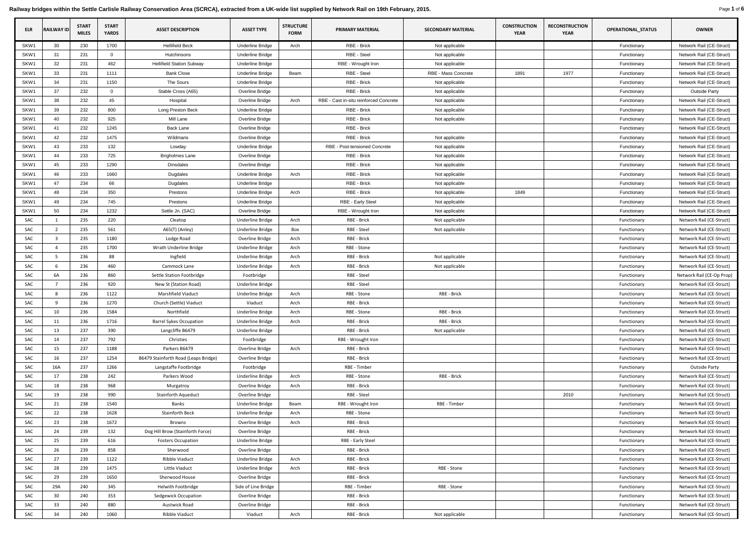Railway bridges within the Settle Carlisle Railway Conservation Area (SCRCA), extracted from a UK-wide list supplied by Network Rail on 19th February, 2015. Page 1 of 6

| <b>ELR</b> | <b>RAILWAY ID</b> | <b>START</b><br><b>MILES</b> | <b>START</b><br><b>YARDS</b> | <b>ASSET DESCRIPTION</b>              | <b>ASSET TYPE</b>                   | <b>STRUCTURE</b><br><b>FORM</b> | <b>PRIMARY MATERIAL</b>                        | <b>SECONDARY MATERIAL</b> | <b>CONSTRUCTION</b><br><b>YEAR</b> | <b>RECONSTRUCTION</b><br><b>YEAR</b> | <b>OPERATIONAL_STATUS</b> | <b>OWNER</b>                                         |
|------------|-------------------|------------------------------|------------------------------|---------------------------------------|-------------------------------------|---------------------------------|------------------------------------------------|---------------------------|------------------------------------|--------------------------------------|---------------------------|------------------------------------------------------|
| SKW1       | 30                | 230                          | 1700                         | <b>Hellifield Beck</b>                | <b>Underline Bridge</b>             | Arch                            | RBE - Brick                                    | Not applicable            |                                    |                                      | Functionary               | Network Rail (CE-Struct)                             |
| SKW1       | 31                | 231                          | $\overline{0}$               | Hutchinsons                           | <b>Underline Bridge</b>             |                                 | RBE - Steel                                    | Not applicable            |                                    |                                      | Functionary               | Network Rail (CE-Struct)                             |
| SKW1       | 32                | 231                          | 462                          | <b>Hellifield Station Subway</b>      | <b>Underline Bridge</b>             |                                 | RBE - Wrought Iron                             | Not applicable            |                                    |                                      | Functionary               | Network Rail (CE-Struct)                             |
| SKW1       | 33                | 231                          | 1111                         | <b>Bank Close</b>                     | <b>Underline Bridge</b>             | Beam                            | RBE - Steel                                    | RBE - Mass Concrete       | 1891                               | 1977                                 | Functionary               | Network Rail (CE-Struct)                             |
| SKW1       | 34                | 231                          | 1150                         | The Sours                             | <b>Underline Bridge</b>             |                                 | RBE - Brick                                    | Not applicable            |                                    |                                      | Functionary               | Network Rail (CE-Struct)                             |
| SKW1       | 37                | 232                          | $\overline{0}$               | Stable Cross (A65)                    | Overline Bridge                     |                                 | RBE - Brick                                    | Not applicable            |                                    |                                      | Functionary               | <b>Outside Party</b>                                 |
| SKW1       | 38                | 232                          | 45                           | Hospital                              | Overline Bridge                     | Arch                            | RBE - Cast in-situ reinforced Concrete         | Not applicable            |                                    |                                      | Functionary               | Network Rail (CE-Struct)                             |
| SKW1       | 39                | 232                          | 800                          | Long Preston Beck                     | <b>Underline Bridge</b>             |                                 | RBE - Brick                                    | Not applicable            |                                    |                                      | Functionary               | Network Rail (CE-Struct)                             |
| SKW1       | 40                | 232                          | 925                          | Mill Lane                             | Overline Bridge                     |                                 | RBE - Brick                                    | Not applicable            |                                    |                                      | Functionary               | Network Rail (CE-Struct)                             |
| SKW1       | 41                | 232                          | 1245                         | <b>Back Lane</b>                      | Overline Bridge                     |                                 | RBE - Brick                                    |                           |                                    |                                      | Functionary               | Network Rail (CE-Struct)                             |
| SKW1       | 42                | 232                          | 1475                         | Wildmans                              | Overline Bridge                     |                                 | RBE - Brick                                    | Not applicable            |                                    |                                      | Functionary               | Network Rail (CE-Struct)                             |
| SKW1       | 43                | 233                          | 132                          | Lowday                                | Underline Bridge                    |                                 | RBE - Post-tensioned Concrete                  | Not applicable            |                                    |                                      | Functionary               | Network Rail (CE-Struct)                             |
| SKW1       | 44                | 233                          | 725                          | <b>Brigholmes Lane</b>                | Overline Bridge                     |                                 | RBE - Brick                                    | Not applicable            |                                    |                                      | Functionary               | Network Rail (CE-Struct)                             |
| SKW1       | 45                | 233                          | 1290                         | <b>Dinsdales</b>                      | Overline Bridge                     |                                 | RBE - Brick                                    | Not applicable            |                                    |                                      | Functionary               | Network Rail (CE-Struct)                             |
| SKW1       | 46                | 233                          | 1660                         | Dugdales                              | <b>Underline Bridge</b>             | Arch                            | RBE - Brick                                    | Not applicable            |                                    |                                      | Functionary               | Network Rail (CE-Struct)                             |
| SKW1       | 47                | 234                          | 66                           | Dugdales                              | <b>Underline Bridge</b>             |                                 | RBE - Brick                                    | Not applicable            |                                    |                                      | Functionary               | Network Rail (CE-Struct)                             |
| SKW1       | 48                | 234                          | 350                          | Prestons                              | <b>Underline Bridge</b>             | Arch                            | RBE - Brick                                    | Not applicable            | 1849                               |                                      | Functionary               | Network Rail (CE-Struct)                             |
| SKW1       | 49                | 234                          | 745                          | Prestons                              | <b>Underline Bridge</b>             |                                 | RBE - Early Steel                              | Not applicable            |                                    |                                      | Functionary               | Network Rail (CE-Struct)                             |
| SKW1       | 50                | 234                          | 1232                         | Settle Jn. (SAC)                      | Overline Bridge                     |                                 | RBE - Wrought Iron                             | Not applicable            |                                    |                                      | Functionary               | Network Rail (CE-Struct)                             |
| SAC        |                   | 235                          | 220                          | Cleatop                               | Underline Bridge                    | Arch                            | RBE - Brick                                    | Not applicable            |                                    |                                      | Functionary               | Network Rail (CE-Struct)                             |
| SAC        |                   | 235                          | 561                          | A65(T) (Anley)                        | Underline Bridge                    | Box                             | RBE - Steel                                    | Not applicable            |                                    |                                      | Functionary               | Network Rail (CE-Struct)                             |
| <b>SAC</b> |                   | 235                          | 1180                         | Lodge Road                            | Overline Bridge                     | Arch                            | RBE - Brick                                    |                           |                                    |                                      | Functionary               | Network Rail (CE-Struct)                             |
| SAC        |                   | 235                          | 1700                         | Wrath Underline Bridge                | Underline Bridge                    | Arch                            | RBE - Stone                                    |                           |                                    |                                      | Functionary               | Network Rail (CE-Struct)                             |
| SAC        | -5                | 236                          | 88                           | Ingfield                              | Underline Bridge                    | Arch                            | RBE - Brick                                    | Not applicable            |                                    |                                      | Functionary               | Network Rail (CE-Struct)                             |
| <b>SAC</b> | -6                | 236                          | 460                          | Cammock Lane                          | Underline Bridge                    | Arch                            | RBE - Brick                                    | Not applicable            |                                    |                                      | Functionary               | Network Rail (CE-Struct)                             |
| SAC        | 6A                | 236                          | 860                          | Settle Station Footbridge             | Footbridge                          |                                 | RBE - Steel                                    |                           |                                    |                                      | Functionary               | Network Rail (CE-Op Prop)                            |
| SAC        |                   | 236                          | 920                          | New St (Station Road)                 | Underline Bridge                    |                                 | RBE - Steel                                    |                           |                                    |                                      | Functionary               | Network Rail (CE-Struct)                             |
| SAC        | 8                 | 236                          | 1122                         | Marshfield Viaduct                    | <b>Underline Bridge</b>             | Arch                            | RBE - Stone                                    | RBE - Brick               |                                    |                                      | Functionary               | Network Rail (CE-Struct)                             |
| SAC        |                   | 236                          | 1270                         | Church (Settle) Viaduct               | Viaduct                             | Arch                            | RBE - Brick                                    |                           |                                    |                                      | Functionary               | Network Rail (CE-Struct)                             |
| SAC        | 10                | 236                          | 1584                         | Northfield                            | Underline Bridge                    | Arch                            | RBE - Stone                                    | RBE - Brick               |                                    |                                      | Functionary               | Network Rail (CE-Struct)                             |
| SAC        | 11                | 236                          | 1716                         | <b>Barrel Sykes Occupation</b>        | Underline Bridge                    | Arch                            | RBE - Brick                                    | RBE - Brick               |                                    |                                      | Functionary               | Network Rail (CE-Struct)                             |
| SAC        | 13                | 237                          | 390                          | Langcliffe B6479                      | <b>Underline Bridge</b>             |                                 | RBE - Brick                                    | Not applicable            |                                    |                                      | Functionary               | Network Rail (CE-Struct)                             |
| SAC        | 14                | 237                          | 792                          | Christies                             | Footbridge                          |                                 | RBE - Wrought Iron                             |                           |                                    |                                      | Functionary               | Network Rail (CE-Struct)                             |
| SAC        | 15                | 237                          | 1188                         | Parkers B6479                         | Overline Bridge                     | Arch                            | RBE - Brick                                    |                           |                                    |                                      | Functionary               | Network Rail (CE-Struct)                             |
| SAC        | 16                | 237                          | 1254                         | B6479 Stainforth Road (Leaps Bridge)  | Overline Bridge                     |                                 | RBE - Brick                                    |                           |                                    |                                      | Functionary               | Network Rail (CE-Struct)                             |
| SAC        | 16A               | 237                          | 1266                         | Langstaffe Footbridge                 | Footbridge                          |                                 | RBE - Timber                                   |                           |                                    |                                      | Functionary               | <b>Outside Party</b>                                 |
| SAC        | 17                | 238                          | 242                          | Parkers Wood                          | Underline Bridge                    | Arch                            | RBE - Stone                                    | RBE - Brick               |                                    |                                      | Functionary               | Network Rail (CE-Struct)                             |
| SAC        | 18                | 238                          | 968                          | Murgatroy                             | Overline Bridge                     | Arch                            | RBE - Brick                                    |                           |                                    |                                      | Functionary               | Network Rail (CE-Struct)                             |
| SAC        | 19                | 238                          | 990                          | Stainforth Aqueduct                   | Overline Bridge                     |                                 | RBE - Steel                                    |                           |                                    | 2010                                 | Functionary               | Network Rail (CE-Struct)                             |
| SAC        | 21                | 238                          | 1540                         | Banks                                 | Underline Bridge                    | Beam                            | RBE - Wrought Iron                             | RBE - Timber              |                                    |                                      | Functionary               | Network Rail (CE-Struct)                             |
| SAC        | 22                | 238                          | 1628                         | <b>Stainforth Beck</b>                | <b>Underline Bridge</b>             | Arch                            | RBE - Stone                                    |                           |                                    |                                      | Functionary               | Network Rail (CE-Struct)                             |
| SAC        | 23                | 238                          | 1672                         | Browns                                | Overline Bridge                     | Arch                            | RBE - Brick                                    |                           |                                    |                                      | Functionary               | Network Rail (CE-Struct)                             |
| <b>SAC</b> | 24                | 239                          | 132                          | Dog Hill Brow (Stainforth Force)      | Overline Bridge                     |                                 | RBE - Brick                                    |                           |                                    |                                      | Functionary               | Network Rail (CE-Struct)                             |
| SAC        | 25                | 239                          | 616                          |                                       |                                     |                                 |                                                |                           |                                    |                                      | Functionary               |                                                      |
| SAC        | 26                | 239                          | 858                          | <b>Fosters Occupation</b><br>Sherwood | Underline Bridge<br>Overline Bridge |                                 | <b>RBE - Early Steel</b><br><b>RBE - Brick</b> |                           |                                    |                                      | Functionary               | Network Rail (CE-Struct)<br>Network Rail (CE-Struct) |
| SAC        | 27                | 239                          | 1122                         | Ribble Viaduct                        | <b>Underline Bridge</b>             | Arch                            | RBE - Brick                                    |                           |                                    |                                      | Functionary               | Network Rail (CE-Struct)                             |
| SAC        | 28                | 239                          | 1475                         | Little Viaduct                        | <b>Underline Bridge</b>             | Arch                            | RBE - Brick                                    | RBE - Stone               |                                    |                                      | Functionary               | Network Rail (CE-Struct)                             |
| SAC        | 29                | 239                          | 1650                         | Sherwood House                        | Overline Bridge                     |                                 | RBE - Brick                                    |                           |                                    |                                      | Functionary               |                                                      |
| SAC        | 29A               | 240                          | 345                          | <b>Helwith Footbridge</b>             | Side of Line Bridge                 |                                 | RBE - Timber                                   | RBE - Stone               |                                    |                                      | Functionary               | Network Rail (CE-Struct)<br>Network Rail (CE-Struct) |
| SAC        | 30 <sub>o</sub>   | 240                          | 353                          | Sedgewick Occupation                  | Overline Bridge                     |                                 | RBE - Brick                                    |                           |                                    |                                      | Functionary               | Network Rail (CE-Struct)                             |
|            |                   | 240                          | 880                          |                                       |                                     |                                 | RBE - Brick                                    |                           |                                    |                                      |                           |                                                      |
| <b>SAC</b> | 33 <sup>°</sup>   |                              |                              | Austwick Road                         | Overline Bridge                     |                                 |                                                |                           |                                    |                                      | Functionary               | Network Rail (CE-Struct)                             |
| SAC        | 34                | 240                          | 1060                         | Ribble Viaduct                        | Viaduct                             | Arch                            | RBE - Brick                                    | Not applicable            |                                    |                                      | Functionary               | Network Rail (CE-Struct)                             |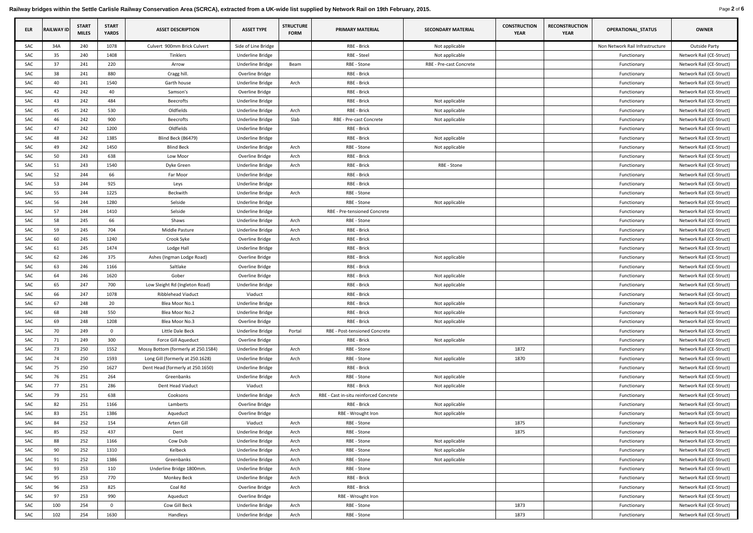Railway bridges within the Settle Carlisle Railway Conservation Area (SCRCA), extracted from a UK-wide list supplied by Network Rail on 19th February, 2015. Page 2 of 6 Page 2 of 6

| <b>ELR</b> | <b>RAILWAY ID</b> | <b>START</b><br><b>MILES</b> | <b>START</b><br><b>YARDS</b> | <b>ASSET DESCRIPTION</b>            | <b>ASSET TYPE</b>       | <b>STRUCTURE</b><br><b>FORM</b> | <b>PRIMARY MATERIAL</b>                | <b>SECONDARY MATERIAL</b> | <b>CONSTRUCTION</b><br><b>YEAR</b> | <b>RECONSTRUCTION</b><br><b>YEAR</b> | <b>OPERATIONAL_STATUS</b>       | <b>OWNER</b>             |
|------------|-------------------|------------------------------|------------------------------|-------------------------------------|-------------------------|---------------------------------|----------------------------------------|---------------------------|------------------------------------|--------------------------------------|---------------------------------|--------------------------|
| <b>SAC</b> | 34A               | 240                          | 1078                         | Culvert 900mm Brick Culvert         | Side of Line Bridge     |                                 | RBE - Brick                            | Not applicable            |                                    |                                      | Non Network Rail Infrastructure | <b>Outside Party</b>     |
| <b>SAC</b> | 35                | 240                          | 1408                         | Tinklers                            | <b>Underline Bridge</b> |                                 | RBE - Steel                            | Not applicable            |                                    |                                      | Functionary                     | Network Rail (CE-Struct) |
| SAC        | 37                | 241                          | 220                          | Arrow                               | Underline Bridge        | Beam                            | RBE - Stone                            | RBE - Pre-cast Concrete   |                                    |                                      | Functionary                     | Network Rail (CE-Struct) |
| SAC        | 38                | 241                          | 880                          | Cragg hill.                         | Overline Bridge         |                                 | RBE - Brick                            |                           |                                    |                                      | Functionary                     | Network Rail (CE-Struct) |
| <b>SAC</b> | 40                | 241                          | 1540                         | Garth house                         | Underline Bridge        | Arch                            | RBE - Brick                            |                           |                                    |                                      | Functionary                     | Network Rail (CE-Struct) |
| SAC        | 42                | 242                          | 40                           | Samson's                            | Overline Bridge         |                                 | RBE - Brick                            |                           |                                    |                                      | Functionary                     | Network Rail (CE-Struct) |
| <b>SAC</b> | 43                | 242                          | 484                          | <b>Beecrofts</b>                    | <b>Underline Bridge</b> |                                 | RBE - Brick                            | Not applicable            |                                    |                                      | Functionary                     | Network Rail (CE-Struct) |
| SAC        | 45                | 242                          | 530                          | Oldfields                           | Underline Bridge        | Arch                            | RBE - Brick                            | Not applicable            |                                    |                                      | Functionary                     | Network Rail (CE-Struct) |
| <b>SAC</b> | 46                | 242                          | 900                          | <b>Beecrofts</b>                    | Underline Bridge        | Slab                            | RBE - Pre-cast Concrete                | Not applicable            |                                    |                                      | Functionary                     | Network Rail (CE-Struct) |
| <b>SAC</b> | 47                | 242                          | 1200                         | Oldfields                           | Underline Bridge        |                                 | RBE - Brick                            |                           |                                    |                                      | Functionary                     | Network Rail (CE-Struct) |
| SAC        | 48                | 242                          | 1385                         | Blind Beck (B6479)                  | Underline Bridge        |                                 | RBE - Brick                            | Not applicable            |                                    |                                      | Functionary                     | Network Rail (CE-Struct) |
| <b>SAC</b> | 49                | 242                          | 1450                         | <b>Blind Beck</b>                   | <b>Underline Bridge</b> | Arch                            | RBE - Stone                            | Not applicable            |                                    |                                      | Functionary                     | Network Rail (CE-Struct) |
| <b>SAC</b> | 50                | 243                          | 638                          | Low Moor                            | Overline Bridge         | Arch                            | RBE - Brick                            |                           |                                    |                                      | Functionary                     | Network Rail (CE-Struct) |
| <b>SAC</b> | 51                | 243                          | 1540                         | Dyke Green                          | Underline Bridge        | Arch                            | RBE - Brick                            | RBE - Stone               |                                    |                                      | Functionary                     | Network Rail (CE-Struct) |
| SAC        | 52                | 244                          | 66                           | Far Moor                            | Underline Bridge        |                                 | RBE - Brick                            |                           |                                    |                                      | Functionary                     | Network Rail (CE-Struct) |
| <b>SAC</b> | 53                | 244                          | 925                          | Leys                                | Underline Bridge        |                                 | RBE - Brick                            |                           |                                    |                                      | Functionary                     | Network Rail (CE-Struct) |
| <b>SAC</b> | 55                | 244                          | 1225                         | Beckwith                            | Underline Bridge        | Arch                            | RBE - Stone                            |                           |                                    |                                      | Functionary                     | Network Rail (CE-Struct) |
| <b>SAC</b> | 56                | 244                          | 1280                         | Selside                             | <b>Underline Bridge</b> |                                 | RBE - Stone                            | Not applicable            |                                    |                                      | Functionary                     | Network Rail (CE-Struct) |
| <b>SAC</b> | 57                | 244                          | 1410                         | Selside                             | Underline Bridge        |                                 | RBE - Pre-tensioned Concrete           |                           |                                    |                                      | Functionary                     | Network Rail (CE-Struct) |
| <b>SAC</b> | 58                | 245                          | 66                           | Shaws                               | Underline Bridge        | Arch                            | RBE - Stone                            |                           |                                    |                                      | Functionary                     | Network Rail (CE-Struct) |
| <b>SAC</b> | 59                | 245                          | 704                          | Middle Pasture                      | Underline Bridge        | Arch                            | RBE - Brick                            |                           |                                    |                                      | Functionary                     | Network Rail (CE-Struct) |
| SAC        | 60                | 245                          | 1240                         | Crook Syke                          | Overline Bridge         | Arch                            | RBE - Brick                            |                           |                                    |                                      | Functionary                     | Network Rail (CE-Struct) |
| SAC        | 61                | 245                          | 1474                         | Lodge Hall                          | Underline Bridge        |                                 | RBE - Brick                            |                           |                                    |                                      | Functionary                     | Network Rail (CE-Struct) |
| SAC        | 62                | 246                          | 375                          | Ashes (Ingman Lodge Road)           | Overline Bridge         |                                 | RBE - Brick                            | Not applicable            |                                    |                                      | Functionary                     | Network Rail (CE-Struct) |
| SAC        | 63                | 246                          | 1166                         | Saltlake                            | Overline Bridge         |                                 | RBE - Brick                            |                           |                                    |                                      | Functionary                     | Network Rail (CE-Struct) |
| SAC        | 64                | 246                          | 1620                         | Gober                               | Overline Bridge         |                                 | RBE - Brick                            | Not applicable            |                                    |                                      | Functionary                     | Network Rail (CE-Struct) |
| SAC        | 65                | 247                          | 700                          | Low Sleight Rd (Ingleton Road)      | Underline Bridge        |                                 | RBE - Brick                            | Not applicable            |                                    |                                      | Functionary                     | Network Rail (CE-Struct) |
| SAC        | 66                | 247                          | 1078                         | <b>Ribblehead Viaduct</b>           | Viaduct                 |                                 | RBE - Brick                            |                           |                                    |                                      | Functionary                     | Network Rail (CE-Struct) |
| SAC        | 67                | 248                          | 20                           | Blea Moor No.1                      | Underline Bridge        |                                 | RBE - Brick                            | Not applicable            |                                    |                                      | Functionary                     | Network Rail (CE-Struct) |
| SAC        | 68                | 248                          | 550                          | Blea Moor No.2                      | Underline Bridge        |                                 | RBE - Brick                            | Not applicable            |                                    |                                      | Functionary                     | Network Rail (CE-Struct) |
| <b>SAC</b> | 69                | 248                          | 1208                         | Blea Moor No.3                      | Overline Bridge         |                                 | RBE - Brick                            | Not applicable            |                                    |                                      | Functionary                     | Network Rail (CE-Struct) |
| SAC        | 70                | 249                          | $\Omega$                     | Little Dale Beck                    | Underline Bridge        | Portal                          | RBE - Post-tensioned Concrete          |                           |                                    |                                      | Functionary                     | Network Rail (CE-Struct) |
| SAC        | 71                | 249                          | 300                          | Force Gill Aqueduct                 | Overline Bridge         |                                 | RBE - Brick                            | Not applicable            |                                    |                                      | Functionary                     | Network Rail (CE-Struct) |
| SAC        | 73                | 250                          | 1552                         | Mossy Bottom (formerly at 250.1584) | Underline Bridge        | Arch                            | RBE - Stone                            |                           | 1872                               |                                      | Functionary                     | Network Rail (CE-Struct) |
| SAC        | 74                | 250                          | 1593                         | Long Gill (formerly at 250.1628)    | <b>Underline Bridge</b> | Arch                            | RBE - Stone                            | Not applicable            | 1870                               |                                      | Functionary                     | Network Rail (CE-Struct) |
| SAC        | 75                | 250                          | 1627                         | Dent Head (formerly at 250.1650)    | Underline Bridge        |                                 | RBE - Brick                            |                           |                                    |                                      | Functionary                     | Network Rail (CE-Struct) |
| SAC        | 76                | 251                          | 264                          | Greenbanks                          | Underline Bridge        | Arch                            | RBE - Stone                            | Not applicable            |                                    |                                      | Functionary                     | Network Rail (CE-Struct) |
| SAC        | 77                | 251                          | 286                          | Dent Head Viaduct                   | Viaduct                 |                                 | RBE - Brick                            | Not applicable            |                                    |                                      | Functionary                     | Network Rail (CE-Struct) |
| SAC        | 79                | 251                          | 638                          | Cooksons                            | Underline Bridge        | Arch                            | RBE - Cast in-situ reinforced Concrete |                           |                                    |                                      | Functionary                     | Network Rail (CE-Struct) |
| SAC        | 82                | 251                          | 1166                         | Lamberts                            | Overline Bridge         |                                 | RBE - Brick                            | Not applicable            |                                    |                                      | Functionary                     | Network Rail (CE-Struct) |
| SAC        | 83                | 251                          | 1386                         | Aqueduct                            | Overline Bridge         |                                 | RBE - Wrought Iron                     | Not applicable            |                                    |                                      | Functionary                     | Network Rail (CE-Struct) |
| SAC        | 84                | 252                          | 154                          | Arten Gill                          | Viaduct                 | Arch                            | RBE - Stone                            |                           | 1875                               |                                      | Functionary                     | Network Rail (CE-Struct) |
| SAC        | 85                | 252                          | 437                          | Dent                                | Underline Bridge        | Arch                            | RBE - Stone                            |                           | 1875                               |                                      | Functionary                     | Network Rail (CE-Struct) |
| SAC        | 88                | 252                          | 1166                         | Cow Dub                             | Underline Bridge        | Arch                            | RBE - Stone                            | Not applicable            |                                    |                                      | Functionary                     | Network Rail (CE-Struct) |
| <b>SAC</b> | 90                | 252                          | 1310                         | Kelbeck                             | Underline Bridge        | Arch                            | RBE - Stone                            | Not applicable            |                                    |                                      | Functionary                     | Network Rail (CE-Struct) |
| <b>SAC</b> | 91                | 252                          | 1386                         | Greenbanks                          | <b>Underline Bridge</b> | Arch                            | RBE - Stone                            | Not applicable            |                                    |                                      | Functionary                     | Network Rail (CE-Struct) |
| SAC        | 93                | 253                          | 110                          | Underline Bridge 1800mm.            | <b>Underline Bridge</b> | Arch                            | RBE - Stone                            |                           |                                    |                                      | Functionary                     | Network Rail (CE-Struct) |
| SAC        | 95                | 253                          | 770                          | Monkey Beck                         | Underline Bridge        | Arch                            | RBE - Brick                            |                           |                                    |                                      | Functionary                     | Network Rail (CE-Struct) |
| SAC        | 96                | 253                          | 825                          | Coal Rd                             | Overline Bridge         | Arch                            | RBE - Brick                            |                           |                                    |                                      | Functionary                     | Network Rail (CE-Struct) |
| <b>SAC</b> | 97                | 253                          | 990                          | Aqueduct                            | Overline Bridge         |                                 | RBE - Wrought Iron                     |                           |                                    |                                      | Functionary                     | Network Rail (CE-Struct) |
| SAC        | 100               | 254                          | $\Omega$                     | Cow Gill Beck                       | Underline Bridge        | Arch                            | RBE - Stone                            |                           | 1873                               |                                      | Functionary                     | Network Rail (CE-Struct) |
| SAC        | 102               | 254                          | 1630                         | Handleys                            | Underline Bridge        | Arch                            | RBE - Stone                            |                           | 1873                               |                                      | Functionary                     | Network Rail (CE-Struct) |
|            |                   |                              |                              |                                     |                         |                                 |                                        |                           |                                    |                                      |                                 |                          |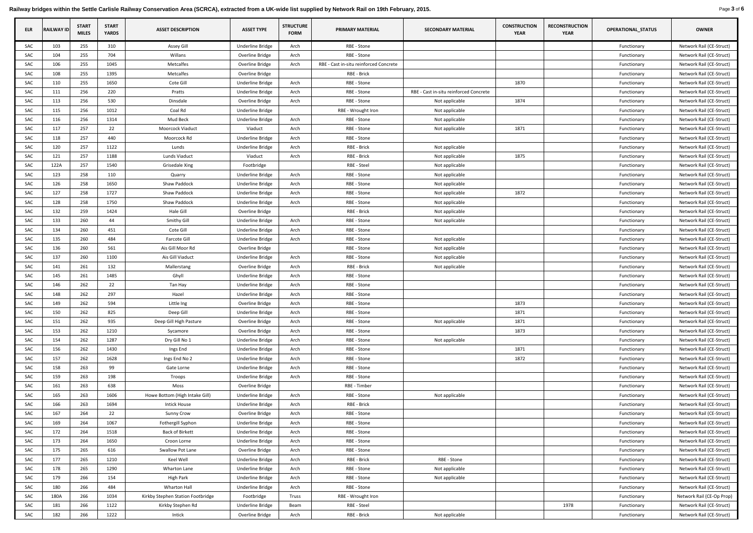Railway bridges within the Settle Carlisle Railway Conservation Area (SCRCA), extracted from a UK-wide list supplied by Network Rail on 19th February, 2015. Page 3 of 6 Page 3 of 6

| ELR        | <b>RAILWAY ID</b> | <b>START</b><br><b>MILES</b> | <b>START</b><br><b>YARDS</b> | <b>ASSET DESCRIPTION</b>          | <b>ASSET TYPE</b>       | <b>STRUCTURE</b><br><b>FORM</b> | <b>PRIMARY MATERIAL</b>                | <b>SECONDARY MATERIAL</b>              | <b>CONSTRUCTION</b><br><b>YEAR</b> | <b>RECONSTRUCTION</b><br><b>YEAR</b> | <b>OPERATIONAL_STATUS</b> | <b>OWNER</b>              |
|------------|-------------------|------------------------------|------------------------------|-----------------------------------|-------------------------|---------------------------------|----------------------------------------|----------------------------------------|------------------------------------|--------------------------------------|---------------------------|---------------------------|
| SAC        | 103               | 255                          | 310                          | <b>Assey Gill</b>                 | <b>Underline Bridge</b> | Arch                            | RBE - Stone                            |                                        |                                    |                                      | Functionary               | Network Rail (CE-Struct)  |
| <b>SAC</b> | 104               | 255                          | 704                          | Willans                           | Overline Bridge         | Arch                            | RBE - Stone                            |                                        |                                    |                                      | Functionary               | Network Rail (CE-Struct)  |
| SAC        | 106               | 255                          | 1045                         | <b>Metcalfes</b>                  | Overline Bridge         | Arch                            | RBE - Cast in-situ reinforced Concrete |                                        |                                    |                                      | Functionary               | Network Rail (CE-Struct)  |
| <b>SAC</b> | 108               | 255                          | 1395                         | <b>Metcalfes</b>                  | Overline Bridge         |                                 | RBE - Brick                            |                                        |                                    |                                      | Functionary               | Network Rail (CE-Struct)  |
| SAC        | 110               | 255                          | 1650                         | Cote Gill                         | Underline Bridge        | Arch                            | RBE - Stone                            |                                        | 1870                               |                                      | Functionary               | Network Rail (CE-Struct)  |
| SAC        | 111               | 256                          | 220                          | Pratts                            | Underline Bridge        | Arch                            | RBE - Stone                            | RBE - Cast in-situ reinforced Concrete |                                    |                                      | Functionary               | Network Rail (CE-Struct)  |
| SAC        | 113               | 256                          | 530                          | Dinsdale                          | Overline Bridge         | Arch                            | RBE - Stone                            | Not applicable                         | 1874                               |                                      | Functionary               | Network Rail (CE-Struct)  |
| <b>SAC</b> | 115               | 256                          | 1012                         | Coal Rd                           | Underline Bridge        |                                 | RBE - Wrought Iron                     | Not applicable                         |                                    |                                      | Functionary               | Network Rail (CE-Struct)  |
| <b>SAC</b> | 116               | 256                          | 1314                         | Mud Beck                          | Underline Bridge        | Arch                            | RBE - Stone                            | Not applicable                         |                                    |                                      | Functionary               | Network Rail (CE-Struct)  |
| <b>SAC</b> | 117               | 257                          | 22                           | Moorcock Viaduct                  | Viaduct                 | Arch                            | RBE - Stone                            | Not applicable                         | 1871                               |                                      | Functionary               | Network Rail (CE-Struct)  |
| SAC        | 118               | 257                          | 440                          | Moorcock Rd                       | Underline Bridge        | Arch                            | RBE - Stone                            |                                        |                                    |                                      | Functionary               | Network Rail (CE-Struct)  |
| SAC        | 120               | 257                          | 1122                         | Lunds                             | Underline Bridge        | Arch                            | RBE - Brick                            | Not applicable                         |                                    |                                      | Functionary               | Network Rail (CE-Struct)  |
| <b>SAC</b> | 121               | 257                          | 1188                         | Lunds Viaduct                     | Viaduct                 | Arch                            | RBE - Brick                            | Not applicable                         | 1875                               |                                      | Functionary               | Network Rail (CE-Struct)  |
| SAC        | 122A              | 257                          | 1540                         | Grisedale Xing                    | Footbridge              |                                 | RBE - Steel                            | Not applicable                         |                                    |                                      | Functionary               | Network Rail (CE-Struct)  |
| SAC        | 123               | 258                          | 110                          | Quarry                            | Underline Bridge        | Arch                            | RBE - Stone                            | Not applicable                         |                                    |                                      | Functionary               | Network Rail (CE-Struct)  |
| SAC        | 126               | 258                          | 1650                         | Shaw Paddock                      | Underline Bridge        | Arch                            | RBE - Stone                            | Not applicable                         |                                    |                                      | Functionary               | Network Rail (CE-Struct)  |
| SAC        | 127               | 258                          | 1727                         | Shaw Paddock                      | Underline Bridge        | Arch                            | RBE - Stone                            | Not applicable                         | 1872                               |                                      | Functionary               | Network Rail (CE-Struct)  |
| SAC        | 128               | 258                          | 1750                         | Shaw Paddock                      | Underline Bridge        | Arch                            | RBE - Stone                            | Not applicable                         |                                    |                                      | Functionary               | Network Rail (CE-Struct)  |
| SAC        | 132               | 259                          | 1424                         | Hale Gill                         | Overline Bridge         |                                 | RBE - Brick                            | Not applicable                         |                                    |                                      | Functionary               | Network Rail (CE-Struct)  |
| SAC        | 133               | 260                          | 44                           | <b>Smithy Gill</b>                | Underline Bridge        | Arch                            | RBE - Stone                            | Not applicable                         |                                    |                                      | Functionary               | Network Rail (CE-Struct)  |
| SAC        | 134               | 260                          | 451                          | Cote Gill                         | Underline Bridge        | Arch                            | RBE - Stone                            |                                        |                                    |                                      | Functionary               | Network Rail (CE-Struct)  |
| SAC        | 135               | 260                          | 484                          | Farcote Gill                      | Underline Bridge        | Arch                            | RBE - Stone                            | Not applicable                         |                                    |                                      | Functionary               | Network Rail (CE-Struct)  |
| SAC        | 136               | 260                          | 561                          | Ais Gill Moor Rd                  | Overline Bridge         |                                 | RBE - Stone                            | Not applicable                         |                                    |                                      | Functionary               | Network Rail (CE-Struct)  |
| SAC        | 137               | 260                          | 1100                         | Ais Gill Viaduct                  | Underline Bridge        | Arch                            | RBE - Stone                            | Not applicable                         |                                    |                                      | Functionary               | Network Rail (CE-Struct)  |
| SAC        | 141               | 261                          | 132                          | Mallerstang                       | Overline Bridge         | Arch                            | RBE - Brick                            | Not applicable                         |                                    |                                      | Functionary               | Network Rail (CE-Struct)  |
| SAC        | 145               | 261                          | 1485                         | Ghyll                             | Underline Bridge        | Arch                            | RBE - Stone                            |                                        |                                    |                                      | Functionary               | Network Rail (CE-Struct)  |
| SAC        | 146               | 262                          | 22                           | Tan Hay                           | <b>Underline Bridge</b> | Arch                            | RBE - Stone                            |                                        |                                    |                                      | Functionary               | Network Rail (CE-Struct)  |
| SAC        | 148               | 262                          | 297                          | Hazel                             | Underline Bridge        | Arch                            | RBE - Stone                            |                                        |                                    |                                      | Functionary               | Network Rail (CE-Struct)  |
| SAC        | 149               | 262                          | 594                          | Little Ing                        | Overline Bridge         | Arch                            | RBE - Stone                            |                                        | 1873                               |                                      | Functionary               | Network Rail (CE-Struct)  |
| SAC        | 150               | 262                          | 825                          | Deep Gill                         | Underline Bridge        | Arch                            | RBE - Stone                            |                                        | 1871                               |                                      | Functionary               | Network Rail (CE-Struct)  |
| SAC        | 151               | 262                          | 935                          | Deep Gill High Pasture            | Overline Bridge         | Arch                            | RBE - Stone                            | Not applicable                         | 1871                               |                                      | Functionary               | Network Rail (CE-Struct)  |
| SAC        | 153               | 262                          | 1210                         | Sycamore                          | Overline Bridge         | Arch                            | RBE - Stone                            |                                        | 1873                               |                                      | Functionary               | Network Rail (CE-Struct)  |
| SAC        | 154               | 262                          | 1287                         | Dry Gill No 1                     | Underline Bridge        | Arch                            | RBE - Stone                            | Not applicable                         |                                    |                                      | Functionary               | Network Rail (CE-Struct)  |
| SAC        | 156               | 262                          | 1430                         | Ings End                          | Underline Bridge        | Arch                            | RBE - Stone                            |                                        | 1871                               |                                      | Functionary               | Network Rail (CE-Struct)  |
| SAC        | 157               | 262                          | 1628                         | Ings End No 2                     | Underline Bridge        | Arch                            | RBE - Stone                            |                                        | 1872                               |                                      | Functionary               | Network Rail (CE-Struct)  |
| SAC        | 158               | 263                          | 99                           | Gate Lorne                        | Underline Bridge        | Arch                            | RBE - Stone                            |                                        |                                    |                                      | Functionary               | Network Rail (CE-Struct)  |
| SAC        | 159               | 263                          | 198                          | Troops                            | Underline Bridge        | Arch                            | RBE - Stone                            |                                        |                                    |                                      | Functionary               | Network Rail (CE-Struct)  |
| SAC        | 161               | 263                          | 638                          | Moss                              | Overline Bridge         |                                 | RBE - Timber                           |                                        |                                    |                                      | Functionary               | Network Rail (CE-Struct)  |
| SAC        | 165               | 263                          | 1606                         | Howe Bottom (High Intake Gill)    | Underline Bridge        | Arch                            | RBE - Stone                            | Not applicable                         |                                    |                                      | Functionary               | Network Rail (CE-Struct)  |
| SAC        | 166               | 263                          | 1694                         | Intick House                      | <b>Underline Bridge</b> | Arch                            | RBE - Brick                            |                                        |                                    |                                      | Functionary               | Network Rail (CE-Struct)  |
| SAC        | 167               | 264                          | 22                           | <b>Sunny Crow</b>                 | Overline Bridge         | Arch                            | RBE - Stone                            |                                        |                                    |                                      | Functionary               | Network Rail (CE-Struct)  |
| <b>SAC</b> | 169               | 264                          | 1067                         | Fothergill Syphon                 | Underline Bridge        | Arch                            | RBE - Stone                            |                                        |                                    |                                      | Functionary               | Network Rail (CE-Struct)  |
| SAC        | 172               | 264                          | 1518                         | <b>Back of Birkett</b>            | <b>Underline Bridge</b> | Arch                            | RBE - Stone                            |                                        |                                    |                                      | Functionary               | Network Rail (CE-Struct)  |
| SAC        | 173               | 264                          | 1650                         | Croon Lorne                       | Underline Bridge        | Arch                            | RBE - Stone                            |                                        |                                    |                                      | Functionary               | Network Rail (CE-Struct)  |
| SAC        | 175               | 265                          | 616                          | Swallow Pot Lane                  | Overline Bridge         | Arch                            | RBE - Stone                            |                                        |                                    |                                      | Functionary               | Network Rail (CE-Struct)  |
| SAC        | 177               | 265                          | 1210                         | Keel Well                         | <b>Underline Bridge</b> | Arch                            | RBE - Brick                            | RBE - Stone                            |                                    |                                      | Functionary               | Network Rail (CE-Struct)  |
| SAC        | 178               | 265                          | 1290                         | Wharton Lane                      | Underline Bridge        | Arch                            | RBE - Stone                            | Not applicable                         |                                    |                                      | Functionary               | Network Rail (CE-Struct)  |
| SAC        | 179               | 266                          | 154                          | <b>High Park</b>                  | <b>Underline Bridge</b> | Arch                            | RBE - Stone                            | Not applicable                         |                                    |                                      | Functionary               | Network Rail (CE-Struct)  |
| SAC        | 180               | 266                          | 484                          | Wharton Hall                      | Underline Bridge        | Arch                            | RBE - Stone                            |                                        |                                    |                                      | Functionary               | Network Rail (CE-Struct)  |
| SAC        | 180A              | 266                          | 1034                         | Kirkby Stephen Station Footbridge | Footbridge              | Truss                           | RBE - Wrought Iron                     |                                        |                                    |                                      | Functionary               | Network Rail (CE-Op Prop) |
| SAC        | 181               | 266                          | 1122                         | Kirkby Stephen Rd                 | <b>Underline Bridge</b> | Beam                            | RBE - Steel                            |                                        |                                    | 1978                                 | Functionary               | Network Rail (CE-Struct)  |
| SAC        | 182               | 266                          | 1222                         | Intick                            | Overline Bridge         | Arch                            | RBE - Brick                            | Not applicable                         |                                    |                                      | Functionary               | Network Rail (CE-Struct)  |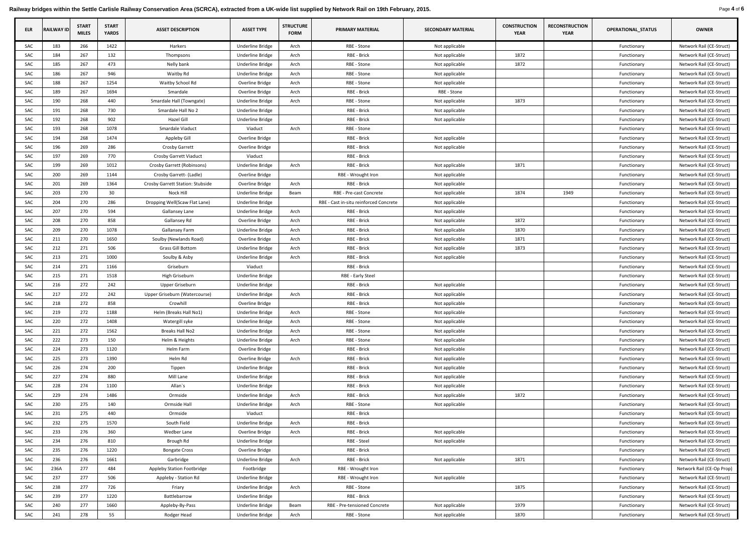Railway bridges within the Settle Carlisle Railway Conservation Area (SCRCA), extracted from a UK-wide list supplied by Network Rail on 19th February, 2015. Page 4 of 6

| <b>ELR</b> | <b>RAILWAY ID</b> | <b>START</b><br><b>MILES</b> | <b>START</b><br><b>YARDS</b> | <b>ASSET DESCRIPTION</b>                | <b>ASSET TYPE</b>       | <b>STRUCTURE</b><br><b>FORM</b> | <b>PRIMARY MATERIAL</b>                | <b>SECONDARY MATERIAL</b> | <b>CONSTRUCTION</b><br><b>YEAR</b> | <b>RECONSTRUCTION</b><br><b>YEAR</b> | <b>OPERATIONAL_STATUS</b> | <b>OWNER</b>              |
|------------|-------------------|------------------------------|------------------------------|-----------------------------------------|-------------------------|---------------------------------|----------------------------------------|---------------------------|------------------------------------|--------------------------------------|---------------------------|---------------------------|
| SAC        | 183               | 266                          | 1422                         | Harkers                                 | Underline Bridge        | Arch                            | RBE - Stone                            | Not applicable            |                                    |                                      | Functionary               | Network Rail (CE-Struct)  |
| SAC        | 184               | 267                          | 132                          | Thompsons                               | Underline Bridge        | Arch                            | RBE - Brick                            | Not applicable            | 1872                               |                                      | Functionary               | Network Rail (CE-Struct)  |
| SAC        | 185               | 267                          | 473                          | Nelly bank                              | Underline Bridge        | Arch                            | RBE - Stone                            | Not applicable            | 1872                               |                                      | Functionary               | Network Rail (CE-Struct)  |
| SAC        | 186               | 267                          | 946                          | Waitby Rd                               | Underline Bridge        | Arch                            | RBE - Stone                            | Not applicable            |                                    |                                      | Functionary               | Network Rail (CE-Struct)  |
| SAC        | 188               | 267                          | 1254                         | Waitby School Rd                        | Overline Bridge         | Arch                            | RBE - Stone                            | Not applicable            |                                    |                                      | Functionary               | Network Rail (CE-Struct)  |
| SAC        | 189               | 267                          | 1694                         | Smardale                                | Overline Bridge         | Arch                            | RBE - Brick                            | RBE - Stone               |                                    |                                      | Functionary               | Network Rail (CE-Struct)  |
| SAC        | 190               | 268                          | 440                          | Smardale Hall (Towngate)                | <b>Underline Bridge</b> | Arch                            | RBE - Stone                            | Not applicable            | 1873                               |                                      | Functionary               | Network Rail (CE-Struct)  |
| SAC        | 191               | 268                          | 730                          | Smardale Hall No 2                      | Underline Bridge        |                                 | RBE - Brick                            | Not applicable            |                                    |                                      | Functionary               | Network Rail (CE-Struct)  |
| SAC        | 192               | 268                          | 902                          | Hazel Gill                              | <b>Underline Bridge</b> |                                 | RBE - Brick                            | Not applicable            |                                    |                                      | Functionary               | Network Rail (CE-Struct)  |
| SAC        | 193               | 268                          | 1078                         | Smardale Viaduct                        | Viaduct                 | Arch                            | RBE - Stone                            |                           |                                    |                                      | Functionary               | Network Rail (CE-Struct)  |
| SAC        | 194               | 268                          | 1474                         | Appleby Gill                            | Overline Bridge         |                                 | RBE - Brick                            | Not applicable            |                                    |                                      | Functionary               | Network Rail (CE-Struct)  |
| SAC        | 196               | 269                          | 286                          | <b>Crosby Garrett</b>                   | Overline Bridge         |                                 | RBE - Brick                            | Not applicable            |                                    |                                      | Functionary               | Network Rail (CE-Struct)  |
| SAC        | 197               | 269                          | 770                          | <b>Crosby Garrett Viaduct</b>           | Viaduct                 |                                 | RBE - Brick                            |                           |                                    |                                      | Functionary               | Network Rail (CE-Struct)  |
| SAC        | 199               | 269                          | 1012                         | Crosby Garrett (Robinsons)              | Underline Bridge        | Arch                            | RBE - Brick                            | Not applicable            | 1871                               |                                      | Functionary               | Network Rail (CE-Struct)  |
| SAC        | 200               | 269                          | 1144                         | Crosby Garrett- (Ladle)                 | Overline Bridge         |                                 | RBE - Wrought Iron                     | Not applicable            |                                    |                                      | Functionary               | Network Rail (CE-Struct)  |
| SAC        | 201               | 269                          | 1364                         | <b>Crosby Garrett Station: Stubside</b> | Overline Bridge         | Arch                            | RBE - Brick                            | Not applicable            |                                    |                                      | Functionary               | Network Rail (CE-Struct)  |
| SAC        | 203               | 270                          | 30 <sup>°</sup>              | Nock Hill                               | Underline Bridge        | Beam                            | RBE - Pre-cast Concrete                | Not applicable            | 1874                               | 1949                                 | Functionary               | Network Rail (CE-Struct)  |
| SAC        | 204               | 270                          | 286                          | Dropping Well(Scaw Flat Lane)           | <b>Underline Bridge</b> |                                 | RBE - Cast in-situ reinforced Concrete | Not applicable            |                                    |                                      | Functionary               | Network Rail (CE-Struct)  |
| SAC        | 207               | 270                          | 594                          | <b>Gallansey Lane</b>                   | Underline Bridge        | Arch                            | RBE - Brick                            | Not applicable            |                                    |                                      | Functionary               | Network Rail (CE-Struct)  |
| SAC        | 208               | 270                          | 858                          | <b>Gallansey Rd</b>                     | Overline Bridge         | Arch                            | RBE - Brick                            | Not applicable            | 1872                               |                                      | Functionary               | Network Rail (CE-Struct)  |
| SAC        | 209               | 270                          | 1078                         | <b>Gallansey Farm</b>                   | Underline Bridge        | Arch                            | RBE - Brick                            | Not applicable            | 1870                               |                                      | Functionary               | Network Rail (CE-Struct)  |
| SAC        | 211               | 270                          | 1650                         | Soulby (Newlands Road)                  | Overline Bridge         | Arch                            | RBE - Brick                            | Not applicable            | 1871                               |                                      | Functionary               | Network Rail (CE-Struct)  |
| SAC        | 212               | 271                          | 506                          | <b>Grass Gill Bottom</b>                | Underline Bridge        | Arch                            | RBE - Brick                            | Not applicable            | 1873                               |                                      | Functionary               | Network Rail (CE-Struct)  |
| SAC        | 213               | 271                          | 1000                         | Soulby & Asby                           | Underline Bridge        | Arch                            | RBE - Brick                            | Not applicable            |                                    |                                      | Functionary               | Network Rail (CE-Struct)  |
| SAC        | 214               | 271                          | 1166                         | Griseburn                               | Viaduct                 |                                 | RBE - Brick                            |                           |                                    |                                      | Functionary               | Network Rail (CE-Struct)  |
| SAC        | 215               | 271                          | 1518                         | High Griseburn                          | Underline Bridge        |                                 | RBE - Early Steel                      |                           |                                    |                                      | Functionary               | Network Rail (CE-Struct)  |
| SAC        | 216               | 272                          | 242                          | Upper Griseburn                         | Underline Bridge        |                                 | RBE - Brick                            | Not applicable            |                                    |                                      | Functionary               | Network Rail (CE-Struct)  |
| SAC        | 217               | 272                          | 242                          | Upper Griseburn (Watercourse)           | Underline Bridge        | Arch                            | RBE - Brick                            | Not applicable            |                                    |                                      | Functionary               | Network Rail (CE-Struct)  |
| SAC        | 218               | 272                          | 858                          | Crowhill                                | Overline Bridge         |                                 | RBE - Brick                            | Not applicable            |                                    |                                      | Functionary               | Network Rail (CE-Struct)  |
| SAC        | 219               | 272                          | 1188                         | Helm (Breaks Hall No1)                  | Underline Bridge        | Arch                            | RBE - Stone                            | Not applicable            |                                    |                                      | Functionary               | Network Rail (CE-Struct)  |
| SAC        | 220               | 272                          | 1408                         | Watergill syke                          | Underline Bridge        | Arch                            | RBE - Stone                            | Not applicable            |                                    |                                      | Functionary               | Network Rail (CE-Struct)  |
| SAC        | 221               | 272                          | 1562                         | <b>Breaks Hall No2</b>                  | Underline Bridge        | Arch                            | RBE - Stone                            | Not applicable            |                                    |                                      | Functionary               | Network Rail (CE-Struct)  |
| SAC        | 222               | 273                          | 150                          | Helm & Heights                          | Underline Bridge        | Arch                            | RBE - Stone                            | Not applicable            |                                    |                                      | Functionary               | Network Rail (CE-Struct)  |
| SAC        | 224               | 273                          | 1120                         | Helm Farm                               | Overline Bridge         |                                 | RBE - Brick                            | Not applicable            |                                    |                                      | Functionary               | Network Rail (CE-Struct)  |
| SAC        | 225               | 273                          | 1390                         | Helm Rd                                 | Overline Bridge         | Arch                            | RBE - Brick                            | Not applicable            |                                    |                                      | Functionary               | Network Rail (CE-Struct)  |
| SAC        | 226               | 274                          | 200                          | Tippen                                  | Underline Bridge        |                                 | RBE - Brick                            | Not applicable            |                                    |                                      | Functionary               | Network Rail (CE-Struct)  |
| SAC        | 227               | 274                          | 880                          | Mill Lane                               | Underline Bridge        |                                 | RBE - Brick                            | Not applicable            |                                    |                                      | Functionary               | Network Rail (CE-Struct)  |
| SAC        | 228               | 274                          | 1100                         | Allan's                                 | <b>Underline Bridge</b> |                                 | RBE - Brick                            | Not applicable            |                                    |                                      | Functionary               | Network Rail (CE-Struct)  |
| SAC        | 229               | 274                          | 1486                         | Ormside                                 | Underline Bridge        | Arch                            | RBE - Brick                            | Not applicable            | 1872                               |                                      | Functionary               | Network Rail (CE-Struct)  |
| SAC        | 230               | 275                          | 140                          | Ormside Hall                            | Underline Bridge        | Arch                            | RBE - Stone                            | Not applicable            |                                    |                                      | Functionary               | Network Rail (CE-Struct)  |
| SAC        | 231               | 275                          | 440                          | Ormside                                 | Viaduct                 |                                 | RBE - Brick                            |                           |                                    |                                      | Functionary               | Network Rail (CE-Struct)  |
| SAC        | 232               | 275                          | 1570                         | South Field                             | Underline Bridge        | Arch                            | RBE - Brick                            |                           |                                    |                                      | Functionary               | Network Rail (CE-Struct)  |
| SAC        | 233               | 276                          | 360                          | Wedber Lane                             | Overline Bridge         | Arch                            | RBE - Brick                            | Not applicable            |                                    |                                      | Functionary               | Network Rail (CE-Struct)  |
| SAC        | 234               | 276                          | 810                          | Brough Rd                               | Underline Bridge        |                                 | RBE - Steel                            | Not applicable            |                                    |                                      | Functionary               | Network Rail (CE-Struct)  |
| SAC        | 235               | 276                          | 1220                         | <b>Bongate Cross</b>                    | Overline Bridge         |                                 | RBE - Brick                            |                           |                                    |                                      | Functionary               | Network Rail (CE-Struct)  |
| SAC        | 236               | 276                          | 1661                         | Garbridge                               | Underline Bridge        | Arch                            | RBE - Brick                            | Not applicable            | 1871                               |                                      | Functionary               | Network Rail (CE-Struct)  |
| SAC        | 236A              | 277                          | 484                          | <b>Appleby Station Footbridge</b>       | Footbridge              |                                 | RBE - Wrought Iron                     |                           |                                    |                                      | Functionary               | Network Rail (CE-Op Prop) |
| SAC        | 237               | 277                          | 506                          | Appleby - Station Rd                    | Underline Bridge        |                                 | RBE - Wrought Iron                     | Not applicable            |                                    |                                      | Functionary               | Network Rail (CE-Struct)  |
| SAC        | 238               | 277                          | 726                          | Friary                                  | <b>Underline Bridge</b> | Arch                            | RBE - Stone                            |                           | 1875                               |                                      | Functionary               | Network Rail (CE-Struct)  |
| SAC        | 239               | 277                          | 1220                         | Battlebarrow                            | <b>Underline Bridge</b> |                                 | RBE - Brick                            |                           |                                    |                                      | Functionary               | Network Rail (CE-Struct)  |
| SAC        | 240               | 277                          | 1660                         | Appleby-By-Pass                         | Underline Bridge        | Beam                            | RBE - Pre-tensioned Concrete           | Not applicable            | 1979                               |                                      | Functionary               | Network Rail (CE-Struct)  |
| SAC        | 241               | 278                          | 55                           | Rodger Head                             | Underline Bridge        | Arch                            | RBE - Stone                            | Not applicable            | 1870                               |                                      | Functionary               | Network Rail (CE-Struct)  |
|            |                   |                              |                              |                                         |                         |                                 |                                        |                           |                                    |                                      |                           |                           |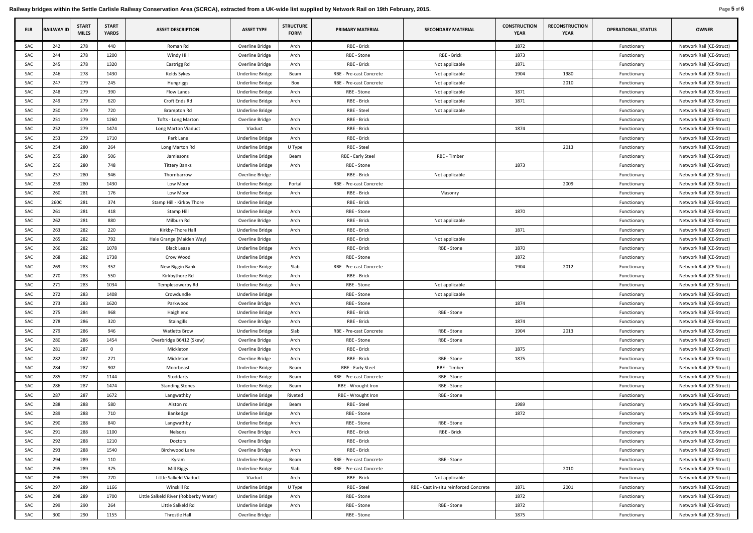Railway bridges within the Settle Carlisle Railway Conservation Area (SCRCA), extracted from a UK-wide list supplied by Network Rail on 19th February, 2015. Page 5 of 6

| <b>ELR</b> | <b>RAILWAY ID</b> | <b>START</b><br><b>MILES</b> | <b>START</b><br><b>YARDS</b> | <b>ASSET DESCRIPTION</b>              | <b>ASSET TYPE</b>       | <b>STRUCTURE</b><br><b>FORM</b> | <b>PRIMARY MATERIAL</b> | <b>SECONDARY MATERIAL</b>              | <b>CONSTRUCTION</b><br><b>YEAR</b> | <b>RECONSTRUCTION</b><br><b>YEAR</b> | <b>OPERATIONAL_STATUS</b> | <b>OWNER</b>             |
|------------|-------------------|------------------------------|------------------------------|---------------------------------------|-------------------------|---------------------------------|-------------------------|----------------------------------------|------------------------------------|--------------------------------------|---------------------------|--------------------------|
| SAC        | 242               | 278                          | 440                          | Roman Rd                              | Overline Bridge         | Arch                            | RBE - Brick             |                                        | 1872                               |                                      | Functionary               | Network Rail (CE-Struct) |
| <b>SAC</b> | 244               | 278                          | 1200                         | Windy Hill                            | Overline Bridge         | Arch                            | RBE - Stone             | RBE - Brick                            | 1873                               |                                      | Functionary               | Network Rail (CE-Struct) |
| SAC        | 245               | 278                          | 1320                         | Eastrigg Rd                           | Overline Bridge         | Arch                            | RBE - Brick             | Not applicable                         | 1871                               |                                      | Functionary               | Network Rail (CE-Struct) |
| SAC        | 246               | 278                          | 1430                         | Kelds Sykes                           | <b>Underline Bridge</b> | Beam                            | RBE - Pre-cast Concrete | Not applicable                         | 1904                               | 1980                                 | Functionary               | Network Rail (CE-Struct) |
| SAC        | 247               | 279                          | 245                          | Hungriggs                             | Underline Bridge        | Box                             | RBE - Pre-cast Concrete | Not applicable                         |                                    | 2010                                 | Functionary               | Network Rail (CE-Struct) |
| SAC        | 248               | 279                          | 390                          | Flow Lands                            | Underline Bridge        | Arch                            | RBE - Stone             | Not applicable                         | 1871                               |                                      | Functionary               | Network Rail (CE-Struct) |
| SAC        | 249               | 279                          | 620                          | Croft Ends Rd                         | Underline Bridge        | Arch                            | RBE - Brick             | Not applicable                         | 1871                               |                                      | Functionary               | Network Rail (CE-Struct) |
| <b>SAC</b> | 250               | 279                          | 720                          | <b>Brampton Rd</b>                    | Underline Bridge        |                                 | RBE - Steel             | Not applicable                         |                                    |                                      | Functionary               | Network Rail (CE-Struct) |
| SAC        | 251               | 279                          | 1260                         | <b>Tofts - Long Marton</b>            | Overline Bridge         | Arch                            | RBE - Brick             |                                        |                                    |                                      | Functionary               | Network Rail (CE-Struct) |
| SAC        | 252               | 279                          | 1474                         | Long Marton Viaduct                   | Viaduct                 | Arch                            | RBE - Brick             |                                        | 1874                               |                                      | Functionary               | Network Rail (CE-Struct) |
| SAC        | 253               | 279                          | 1710                         | Park Lane                             | Underline Bridge        | Arch                            | RBE - Brick             |                                        |                                    |                                      | Functionary               | Network Rail (CE-Struct) |
| SAC        | 254               | 280                          | 264                          | Long Marton Rd                        | Underline Bridge        | U Type                          | RBE - Steel             |                                        |                                    | 2013                                 | Functionary               | Network Rail (CE-Struct) |
| <b>SAC</b> | 255               | 280                          | 506                          | Jamiesons                             | Underline Bridge        | Beam                            | RBE - Early Steel       | RBE - Timber                           |                                    |                                      | Functionary               | Network Rail (CE-Struct) |
| SAC        | 256               | 280                          | 748                          | <b>Tittery Banks</b>                  | Underline Bridge        | Arch                            | RBE - Stone             |                                        | 1873                               |                                      | Functionary               | Network Rail (CE-Struct) |
| SAC        | 257               | 280                          | 946                          | Thornbarrow                           | Overline Bridge         |                                 | RBE - Brick             | Not applicable                         |                                    |                                      | Functionary               | Network Rail (CE-Struct) |
| SAC        | 259               | 280                          | 1430                         | Low Moor                              | Underline Bridge        | Portal                          | RBE - Pre-cast Concrete |                                        |                                    | 2009                                 | Functionary               | Network Rail (CE-Struct) |
| SAC        | 260               | 281                          | 176                          | Low Moor                              | Underline Bridge        | Arch                            | RBE - Brick             | Masonry                                |                                    |                                      | Functionary               | Network Rail (CE-Struct) |
| <b>SAC</b> | 260C              | 281                          | 374                          | Stamp Hill - Kirkby Thore             | <b>Underline Bridge</b> |                                 | RBE - Brick             |                                        |                                    |                                      | Functionary               | Network Rail (CE-Struct) |
| <b>SAC</b> | 261               | 281                          | 418                          | <b>Stamp Hill</b>                     | Underline Bridge        | Arch                            | RBE - Stone             |                                        | 1870                               |                                      | Functionary               | Network Rail (CE-Struct) |
| <b>SAC</b> | 262               | 281                          | 880                          | Milburn Rd                            | Overline Bridge         | Arch                            | RBE - Brick             | Not applicable                         |                                    |                                      | Functionary               | Network Rail (CE-Struct) |
| SAC        | 263               | 282                          | 220                          | Kirkby-Thore Hall                     | Underline Bridge        | Arch                            | RBE - Brick             |                                        | 1871                               |                                      | Functionary               | Network Rail (CE-Struct) |
| SAC        | 265               | 282                          | 792                          | Hale Grange (Maiden Way)              | Overline Bridge         |                                 | <b>RBE - Brick</b>      | Not applicable                         |                                    |                                      | Functionary               | Network Rail (CE-Struct) |
| SAC        | 266               | 282                          | 1078                         | <b>Black Lease</b>                    | Underline Bridge        | Arch                            | RBE - Brick             | RBE - Stone                            | 1870                               |                                      | Functionary               | Network Rail (CE-Struct) |
| SAC        | 268               | 282                          | 1738                         | Crow Wood                             | Underline Bridge        | Arch                            | RBE - Stone             |                                        | 1872                               |                                      | Functionary               | Network Rail (CE-Struct) |
| SAC        | 269               | 283                          | 352                          | New Biggin Bank                       | Underline Bridge        | Slab                            | RBE - Pre-cast Concrete |                                        | 1904                               | 2012                                 | Functionary               | Network Rail (CE-Struct) |
| SAC        | 270               | 283                          | 550                          | Kirkbythore Rd                        | Underline Bridge        | Arch                            | RBE - Brick             |                                        |                                    |                                      | Functionary               | Network Rail (CE-Struct) |
| SAC        | 271               | 283                          | 1034                         | Templesowerby Rd                      | <b>Underline Bridge</b> | Arch                            | RBE - Stone             | Not applicable                         |                                    |                                      | Functionary               | Network Rail (CE-Struct) |
| SAC        | 272               | 283                          | 1408                         | Crowdundle                            | Underline Bridge        |                                 | RBE - Stone             | Not applicable                         |                                    |                                      | Functionary               | Network Rail (CE-Struct) |
| SAC        | 273               | 283                          | 1620                         | Parkwood                              | Overline Bridge         | Arch                            | RBE - Stone             |                                        | 1874                               |                                      | Functionary               | Network Rail (CE-Struct) |
| SAC        | 275               | 284                          | 968                          | Haigh end                             | Underline Bridge        | Arch                            | RBE - Brick             | RBE - Stone                            |                                    |                                      | Functionary               | Network Rail (CE-Struct) |
| SAC        | 278               | 286                          | 320                          | Staingills                            | Overline Bridge         | Arch                            | RBE - Brick             |                                        | 1874                               |                                      | Functionary               | Network Rail (CE-Struct) |
| SAC        | 279               | 286                          | 946                          | <b>Watletts Brow</b>                  | Underline Bridge        | Slab                            | RBE - Pre-cast Concrete | RBE - Stone                            | 1904                               | 2013                                 | Functionary               | Network Rail (CE-Struct) |
| SAC        | 280               | 286                          | 1454                         | Overbridge B6412 (Skew)               | Overline Bridge         | Arch                            | RBE - Stone             | RBE - Stone                            |                                    |                                      | Functionary               | Network Rail (CE-Struct) |
| SAC        | 281               | 287                          | $\mathbf 0$                  | Mickleton                             | Overline Bridge         | Arch                            | RBE - Brick             |                                        | 1875                               |                                      | Functionary               | Network Rail (CE-Struct) |
| <b>SAC</b> | 282               | 287                          | 271                          | Mickleton                             | Overline Bridge         | Arch                            | RBE - Brick             | RBE - Stone                            | 1875                               |                                      | Functionary               | Network Rail (CE-Struct) |
| SAC        | 284               | 287                          | 902                          | Moorbeast                             | Underline Bridge        | Beam                            | RBE - Early Steel       | RBE - Timber                           |                                    |                                      | Functionary               | Network Rail (CE-Struct) |
| SAC        | 285               | 287                          | 1144                         | Stoddarts                             | Underline Bridge        | Beam                            | RBE - Pre-cast Concrete | RBE - Stone                            |                                    |                                      | Functionary               | Network Rail (CE-Struct) |
| SAC        | 286               | 287                          | 1474                         | <b>Standing Stones</b>                | <b>Underline Bridge</b> | Beam                            | RBE - Wrought Iron      | RBE - Stone                            |                                    |                                      | Functionary               | Network Rail (CE-Struct) |
| SAC        | 287               | 287                          | 1672                         | Langwathby                            | Underline Bridge        | Riveted                         | RBE - Wrought Iron      | RBE - Stone                            |                                    |                                      | Functionary               | Network Rail (CE-Struct) |
| SAC        | 288               | 288                          | 580                          | Alston rd                             | Underline Bridge        | Beam                            | RBE - Steel             |                                        | 1989                               |                                      | Functionary               | Network Rail (CE-Struct) |
| SAC        | 289               | 288                          | 710                          | Bankedge                              | Underline Bridge        | Arch                            | RBE - Stone             |                                        | 1872                               |                                      | Functionary               | Network Rail (CE-Struct) |
| SAC        | 290               | 288                          | 840                          | Langwathby                            | Underline Bridge        | Arch                            | RBE - Stone             | RBE - Stone                            |                                    |                                      | Functionary               | Network Rail (CE-Struct) |
| SAC        | 291               | 288                          | 1100                         | Nelsons                               | Overline Bridge         | Arch                            | RBE - Brick             | RBE - Brick                            |                                    |                                      | Functionary               | Network Rail (CE-Struct) |
| SAC        | 292               | 288                          | 1210                         | Doctors                               | Overline Bridge         |                                 | RBE - Brick             |                                        |                                    |                                      | Functionary               | Network Rail (CE-Struct) |
| SAC        | 293               | 288                          | 1540                         | Birchwood Lane                        | Overline Bridge         | Arch                            | <b>RBE - Brick</b>      |                                        |                                    |                                      | Functionary               | Network Rail (CE-Struct) |
| SAC        | 294               | 289                          | 110                          | Kyram                                 | <b>Underline Bridge</b> | Beam                            | RBE - Pre-cast Concrete | RBE - Stone                            |                                    |                                      | Functionary               | Network Rail (CE-Struct) |
| SAC        | 295               | 289                          | 375                          | Mill Riggs                            | <b>Underline Bridge</b> | Slab                            | RBE - Pre-cast Concrete |                                        |                                    | 2010                                 | Functionary               | Network Rail (CE-Struct) |
| SAC        | 296               | 289                          | 770                          | Little Salkeld Viaduct                | Viaduct                 | Arch                            | RBE - Brick             | Not applicable                         |                                    |                                      | Functionary               | Network Rail (CE-Struct) |
| SAC        | 297               | 289                          | 1166                         | Winskill Rd                           | <b>Underline Bridge</b> | U Type                          | RBE - Steel             | RBE - Cast in-situ reinforced Concrete | 1871                               | 2001                                 | Functionary               | Network Rail (CE-Struct) |
| SAC        | 298               | 289                          | 1700                         | Little Salkeld River (Robberby Water) | <b>Underline Bridge</b> | Arch                            | RBE - Stone             |                                        | 1872                               |                                      | Functionary               | Network Rail (CE-Struct) |
| SAC        | 299               | 290                          | 264                          | Little Salkeld Rd                     | <b>Underline Bridge</b> | Arch                            | RBE - Stone             | RBE - Stone                            | 1872                               |                                      | Functionary               | Network Rail (CE-Struct) |
| SAC        | 300               | 290                          | 1155                         | Throstle Hall                         | Overline Bridge         |                                 | RBE - Stone             |                                        | 1875                               |                                      | Functionary               | Network Rail (CE-Struct) |
|            |                   |                              |                              |                                       |                         |                                 |                         |                                        |                                    |                                      |                           |                          |